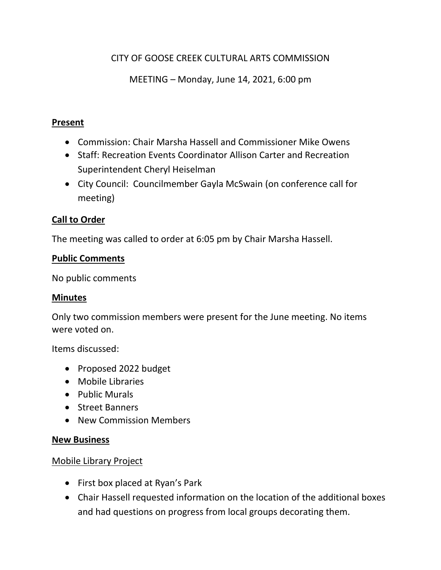# CITY OF GOOSE CREEK CULTURAL ARTS COMMISSION

MEETING – Monday, June 14, 2021, 6:00 pm

#### **Present**

- Commission: Chair Marsha Hassell and Commissioner Mike Owens
- Staff: Recreation Events Coordinator Allison Carter and Recreation Superintendent Cheryl Heiselman
- City Council: Councilmember Gayla McSwain (on conference call for meeting)

## **Call to Order**

The meeting was called to order at 6:05 pm by Chair Marsha Hassell.

### **Public Comments**

No public comments

#### **Minutes**

Only two commission members were present for the June meeting. No items were voted on.

Items discussed:

- Proposed 2022 budget
- Mobile Libraries
- Public Murals
- Street Banners
- New Commission Members

#### **New Business**

### Mobile Library Project

- First box placed at Ryan's Park
- Chair Hassell requested information on the location of the additional boxes and had questions on progress from local groups decorating them.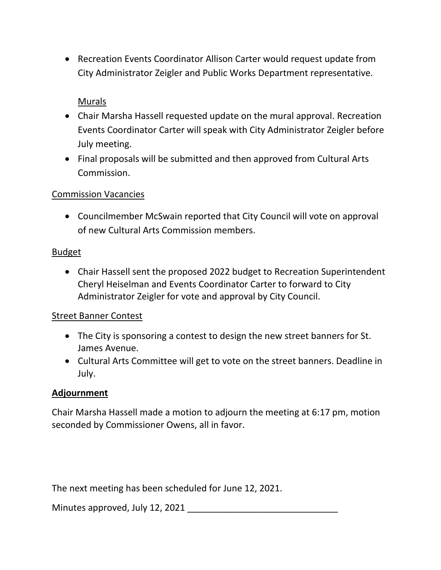• Recreation Events Coordinator Allison Carter would request update from City Administrator Zeigler and Public Works Department representative.

# Murals

- Chair Marsha Hassell requested update on the mural approval. Recreation Events Coordinator Carter will speak with City Administrator Zeigler before July meeting.
- Final proposals will be submitted and then approved from Cultural Arts Commission.

### Commission Vacancies

• Councilmember McSwain reported that City Council will vote on approval of new Cultural Arts Commission members.

#### Budget

• Chair Hassell sent the proposed 2022 budget to Recreation Superintendent Cheryl Heiselman and Events Coordinator Carter to forward to City Administrator Zeigler for vote and approval by City Council.

### Street Banner Contest

- The City is sponsoring a contest to design the new street banners for St. James Avenue.
- Cultural Arts Committee will get to vote on the street banners. Deadline in July.

### **Adjournment**

Chair Marsha Hassell made a motion to adjourn the meeting at 6:17 pm, motion seconded by Commissioner Owens, all in favor.

The next meeting has been scheduled for June 12, 2021.

Minutes approved, July 12, 2021 \_\_\_\_\_\_\_\_\_\_\_\_\_\_\_\_\_\_\_\_\_\_\_\_\_\_\_\_\_\_